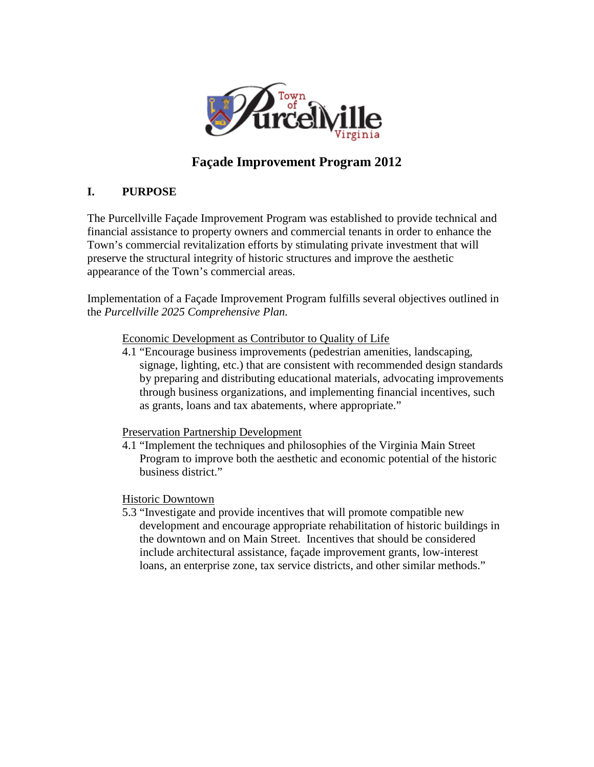

# **Façade Improvement Program 2012**

## **I. PURPOSE**

The Purcellville Façade Improvement Program was established to provide technical and financial assistance to property owners and commercial tenants in order to enhance the Town's commercial revitalization efforts by stimulating private investment that will preserve the structural integrity of historic structures and improve the aesthetic appearance of the Town's commercial areas.

Implementation of a Façade Improvement Program fulfills several objectives outlined in the *Purcellville 2025 Comprehensive Plan.* 

Economic Development as Contributor to Quality of Life

4.1 "Encourage business improvements (pedestrian amenities, landscaping, signage, lighting, etc.) that are consistent with recommended design standards by preparing and distributing educational materials, advocating improvements through business organizations, and implementing financial incentives, such as grants, loans and tax abatements, where appropriate."

Preservation Partnership Development

4.1 "Implement the techniques and philosophies of the Virginia Main Street Program to improve both the aesthetic and economic potential of the historic business district."

Historic Downtown

5.3 "Investigate and provide incentives that will promote compatible new development and encourage appropriate rehabilitation of historic buildings in the downtown and on Main Street. Incentives that should be considered include architectural assistance, façade improvement grants, low-interest loans, an enterprise zone, tax service districts, and other similar methods."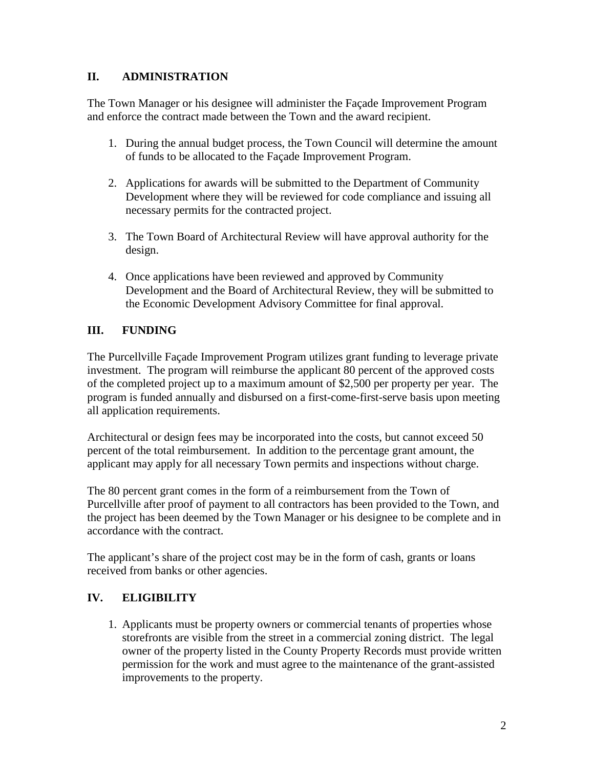### **II. ADMINISTRATION**

The Town Manager or his designee will administer the Façade Improvement Program and enforce the contract made between the Town and the award recipient.

- 1. During the annual budget process, the Town Council will determine the amount of funds to be allocated to the Façade Improvement Program.
- 2. Applications for awards will be submitted to the Department of Community Development where they will be reviewed for code compliance and issuing all necessary permits for the contracted project.
- 3. The Town Board of Architectural Review will have approval authority for the design.
- 4. Once applications have been reviewed and approved by Community Development and the Board of Architectural Review, they will be submitted to the Economic Development Advisory Committee for final approval.

## **III. FUNDING**

The Purcellville Façade Improvement Program utilizes grant funding to leverage private investment. The program will reimburse the applicant 80 percent of the approved costs of the completed project up to a maximum amount of \$2,500 per property per year. The program is funded annually and disbursed on a first-come-first-serve basis upon meeting all application requirements.

Architectural or design fees may be incorporated into the costs, but cannot exceed 50 percent of the total reimbursement. In addition to the percentage grant amount, the applicant may apply for all necessary Town permits and inspections without charge.

The 80 percent grant comes in the form of a reimbursement from the Town of Purcellville after proof of payment to all contractors has been provided to the Town, and the project has been deemed by the Town Manager or his designee to be complete and in accordance with the contract.

The applicant's share of the project cost may be in the form of cash, grants or loans received from banks or other agencies.

## **IV. ELIGIBILITY**

1. Applicants must be property owners or commercial tenants of properties whose storefronts are visible from the street in a commercial zoning district. The legal owner of the property listed in the County Property Records must provide written permission for the work and must agree to the maintenance of the grant-assisted improvements to the property.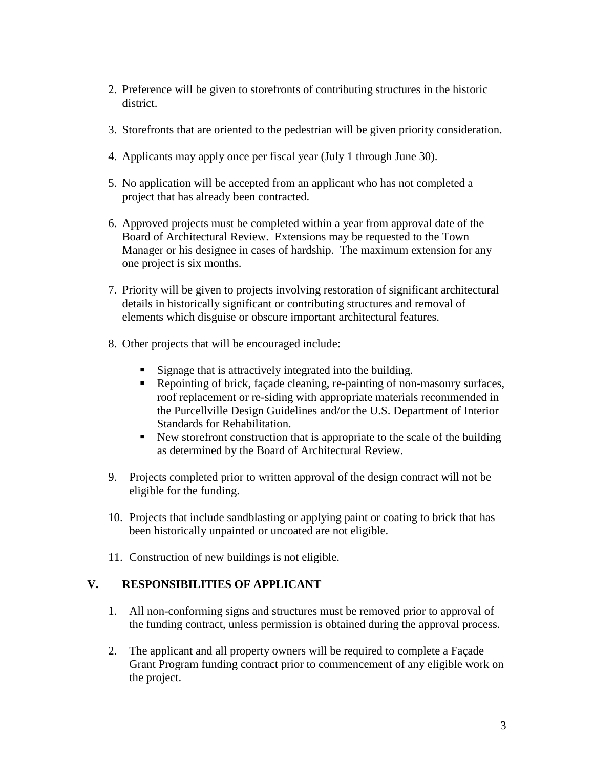- 2. Preference will be given to storefronts of contributing structures in the historic district.
- 3. Storefronts that are oriented to the pedestrian will be given priority consideration.
- 4. Applicants may apply once per fiscal year (July 1 through June 30).
- 5. No application will be accepted from an applicant who has not completed a project that has already been contracted.
- 6. Approved projects must be completed within a year from approval date of the Board of Architectural Review. Extensions may be requested to the Town Manager or his designee in cases of hardship. The maximum extension for any one project is six months.
- 7. Priority will be given to projects involving restoration of significant architectural details in historically significant or contributing structures and removal of elements which disguise or obscure important architectural features.
- 8. Other projects that will be encouraged include:
	- Signage that is attractively integrated into the building.
	- Repointing of brick, façade cleaning, re-painting of non-masonry surfaces, roof replacement or re-siding with appropriate materials recommended in the Purcellville Design Guidelines and/or the U.S. Department of Interior Standards for Rehabilitation.
	- New storefront construction that is appropriate to the scale of the building as determined by the Board of Architectural Review.
- 9. Projects completed prior to written approval of the design contract will not be eligible for the funding.
- 10. Projects that include sandblasting or applying paint or coating to brick that has been historically unpainted or uncoated are not eligible.
- 11. Construction of new buildings is not eligible.

### **V. RESPONSIBILITIES OF APPLICANT**

- 1. All non-conforming signs and structures must be removed prior to approval of the funding contract, unless permission is obtained during the approval process.
- 2. The applicant and all property owners will be required to complete a Façade Grant Program funding contract prior to commencement of any eligible work on the project.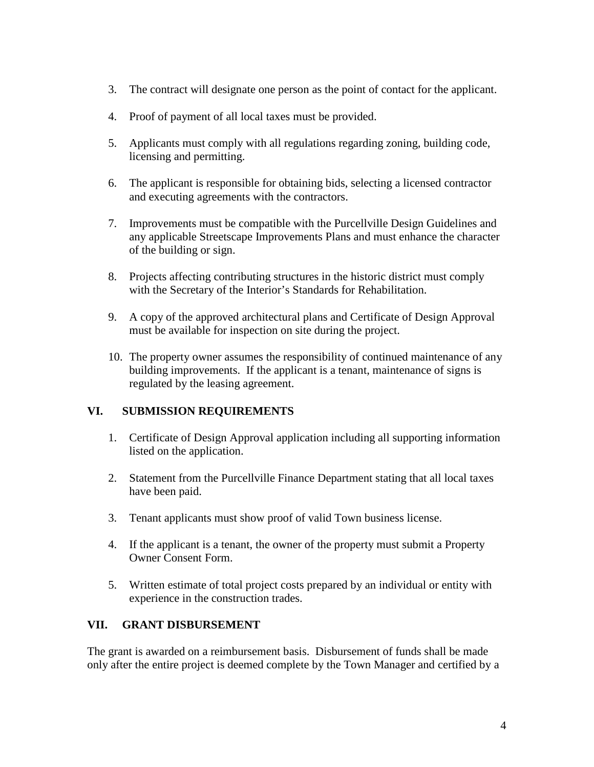- 3. The contract will designate one person as the point of contact for the applicant.
- 4. Proof of payment of all local taxes must be provided.
- 5. Applicants must comply with all regulations regarding zoning, building code, licensing and permitting.
- 6. The applicant is responsible for obtaining bids, selecting a licensed contractor and executing agreements with the contractors.
- 7. Improvements must be compatible with the Purcellville Design Guidelines and any applicable Streetscape Improvements Plans and must enhance the character of the building or sign.
- 8. Projects affecting contributing structures in the historic district must comply with the Secretary of the Interior's Standards for Rehabilitation.
- 9. A copy of the approved architectural plans and Certificate of Design Approval must be available for inspection on site during the project.
- 10. The property owner assumes the responsibility of continued maintenance of any building improvements. If the applicant is a tenant, maintenance of signs is regulated by the leasing agreement.

## **VI. SUBMISSION REQUIREMENTS**

- 1. Certificate of Design Approval application including all supporting information listed on the application.
- 2. Statement from the Purcellville Finance Department stating that all local taxes have been paid.
- 3. Tenant applicants must show proof of valid Town business license.
- 4. If the applicant is a tenant, the owner of the property must submit a Property Owner Consent Form.
- 5. Written estimate of total project costs prepared by an individual or entity with experience in the construction trades.

### **VII. GRANT DISBURSEMENT**

The grant is awarded on a reimbursement basis. Disbursement of funds shall be made only after the entire project is deemed complete by the Town Manager and certified by a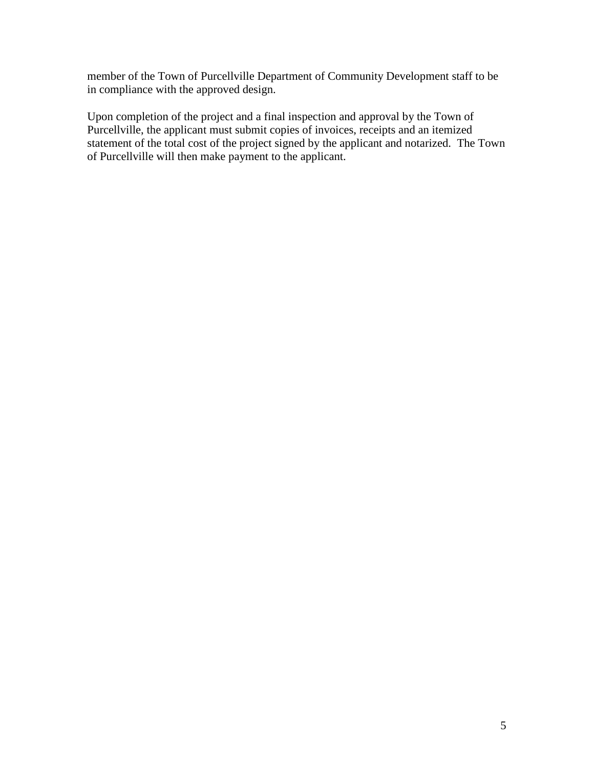member of the Town of Purcellville Department of Community Development staff to be in compliance with the approved design.

Upon completion of the project and a final inspection and approval by the Town of Purcellville, the applicant must submit copies of invoices, receipts and an itemized statement of the total cost of the project signed by the applicant and notarized. The Town of Purcellville will then make payment to the applicant.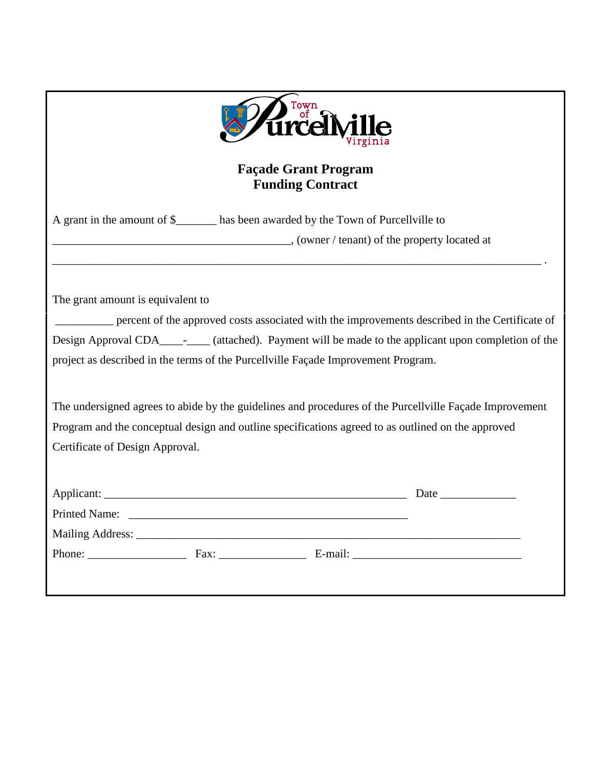| <i>rdd</i>                                                                                                                                                                                                    |  |  |                                                                                                     |  |  |  |
|---------------------------------------------------------------------------------------------------------------------------------------------------------------------------------------------------------------|--|--|-----------------------------------------------------------------------------------------------------|--|--|--|
| <b>Façade Grant Program</b><br><b>Funding Contract</b>                                                                                                                                                        |  |  |                                                                                                     |  |  |  |
| A grant in the amount of \$______ has been awarded by the Town of Purcellville to                                                                                                                             |  |  |                                                                                                     |  |  |  |
| (owner / tenant) of the property located at                                                                                                                                                                   |  |  |                                                                                                     |  |  |  |
|                                                                                                                                                                                                               |  |  |                                                                                                     |  |  |  |
| The grant amount is equivalent to                                                                                                                                                                             |  |  |                                                                                                     |  |  |  |
|                                                                                                                                                                                                               |  |  | percent of the approved costs associated with the improvements described in the Certificate of      |  |  |  |
|                                                                                                                                                                                                               |  |  | Design Approval CDA_______ (attached). Payment will be made to the applicant upon completion of the |  |  |  |
| project as described in the terms of the Purcellville Façade Improvement Program.                                                                                                                             |  |  |                                                                                                     |  |  |  |
| The undersigned agrees to abide by the guidelines and procedures of the Purcellville Façade Improvement<br>Program and the conceptual design and outline specifications agreed to as outlined on the approved |  |  |                                                                                                     |  |  |  |
| Certificate of Design Approval.                                                                                                                                                                               |  |  |                                                                                                     |  |  |  |
|                                                                                                                                                                                                               |  |  |                                                                                                     |  |  |  |
|                                                                                                                                                                                                               |  |  | Date                                                                                                |  |  |  |
|                                                                                                                                                                                                               |  |  |                                                                                                     |  |  |  |
|                                                                                                                                                                                                               |  |  |                                                                                                     |  |  |  |
|                                                                                                                                                                                                               |  |  |                                                                                                     |  |  |  |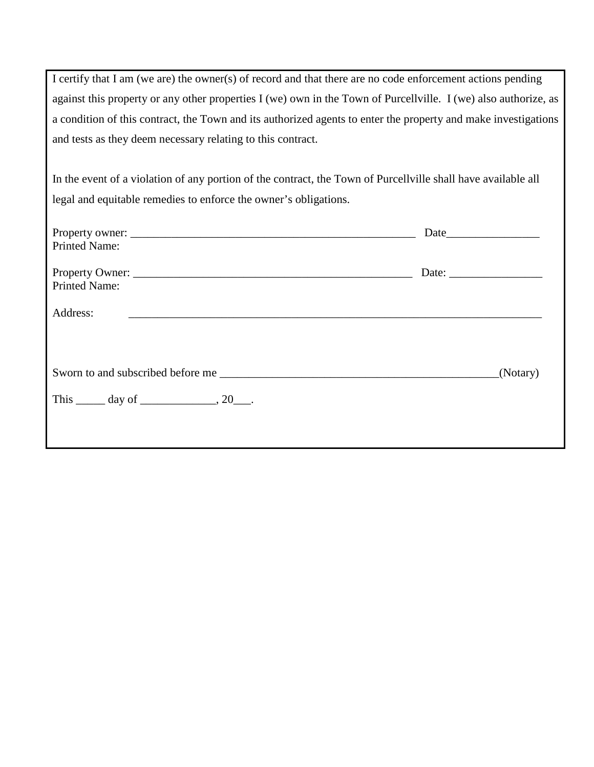I certify that I am (we are) the owner(s) of record and that there are no code enforcement actions pending against this property or any other properties I (we) own in the Town of Purcellville. I (we) also authorize, as a condition of this contract, the Town and its authorized agents to enter the property and make investigations and tests as they deem necessary relating to this contract.

In the event of a violation of any portion of the contract, the Town of Purcellville shall have available all legal and equitable remedies to enforce the owner's obligations.

| <b>Printed Name:</b>                                 |                                                          |
|------------------------------------------------------|----------------------------------------------------------|
| Property Owner:<br><b>Printed Name:</b>              | Date: $\frac{1}{\sqrt{1-\frac{1}{2}} \cdot \frac{1}{2}}$ |
| Address:                                             |                                                          |
|                                                      | (Notary)                                                 |
| This $\_\_\_\$ day of $\_\_\_\_\_\$ , 20 $\_\_\_\$ . |                                                          |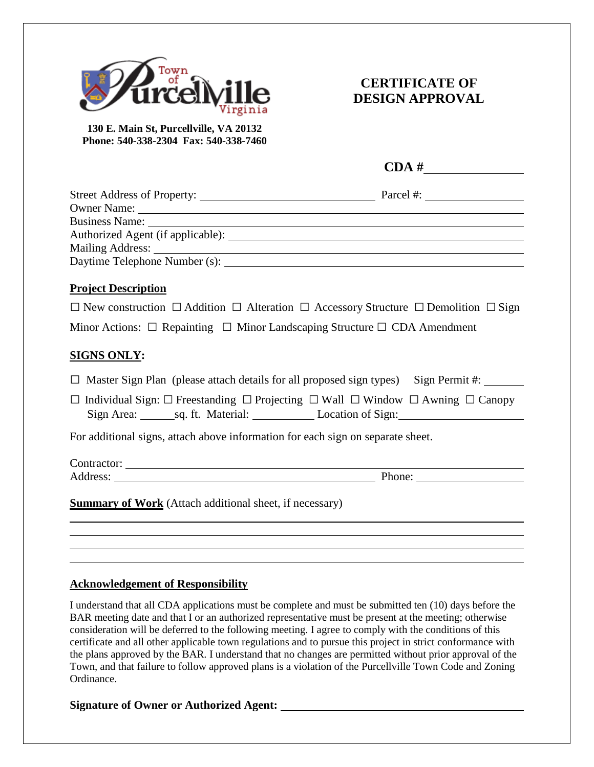

# **CERTIFICATE OF DESIGN APPROVAL**

**130 E. Main St, Purcellville, VA 20132 Phone: 540-338-2304 Fax: 540-338-7460**

| Business Name: Name: Name: Name: Name: Name: Name: Name: Name: Name: Name: Name: Name: Name: Name: Name: Name: Name: Name: Name: Name: Name: Name: Name: Name: Name: Name: Name: Name: Name: Name: Name: Name: Name: Name: Nam |  |
|--------------------------------------------------------------------------------------------------------------------------------------------------------------------------------------------------------------------------------|--|
|                                                                                                                                                                                                                                |  |
|                                                                                                                                                                                                                                |  |
|                                                                                                                                                                                                                                |  |
| <b>Project Description</b>                                                                                                                                                                                                     |  |
| $\Box$ New construction $\Box$ Addition $\Box$ Alteration $\Box$ Accessory Structure $\Box$ Demolition $\Box$ Sign                                                                                                             |  |
| Minor Actions: $\Box$ Repainting $\Box$ Minor Landscaping Structure $\Box$ CDA Amendment                                                                                                                                       |  |
| <b>SIGNS ONLY:</b>                                                                                                                                                                                                             |  |
| $\Box$ Master Sign Plan (please attach details for all proposed sign types) Sign Permit #:                                                                                                                                     |  |
| $\Box$ Individual Sign: $\Box$ Freestanding $\Box$ Projecting $\Box$ Wall $\Box$ Window $\Box$ Awning $\Box$ Canopy<br>Sign Area: sq. ft. Material: Location of Sign:                                                          |  |
| For additional signs, attach above information for each sign on separate sheet.                                                                                                                                                |  |
|                                                                                                                                                                                                                                |  |
| Address: Phone: Phone: Phone: Phone: Phone: Phone: Phone: Phone: Phone: Phone: Phone: Phone: Phone: Phone: Phone: Phone: Phone: Phone: Phone: Phone: Phone: Phone: Phone: Phone: Phone: Phone: Phone: Phone: Phone: Phone: Pho |  |
| <b>Summary of Work</b> (Attach additional sheet, if necessary)                                                                                                                                                                 |  |
|                                                                                                                                                                                                                                |  |
|                                                                                                                                                                                                                                |  |
|                                                                                                                                                                                                                                |  |

#### **Acknowledgement of Responsibility**

I understand that all CDA applications must be complete and must be submitted ten (10) days before the BAR meeting date and that I or an authorized representative must be present at the meeting; otherwise consideration will be deferred to the following meeting. I agree to comply with the conditions of this certificate and all other applicable town regulations and to pursue this project in strict conformance with the plans approved by the BAR. I understand that no changes are permitted without prior approval of the Town, and that failure to follow approved plans is a violation of the Purcellville Town Code and Zoning Ordinance.

#### **Signature of Owner or Authorized Agent:**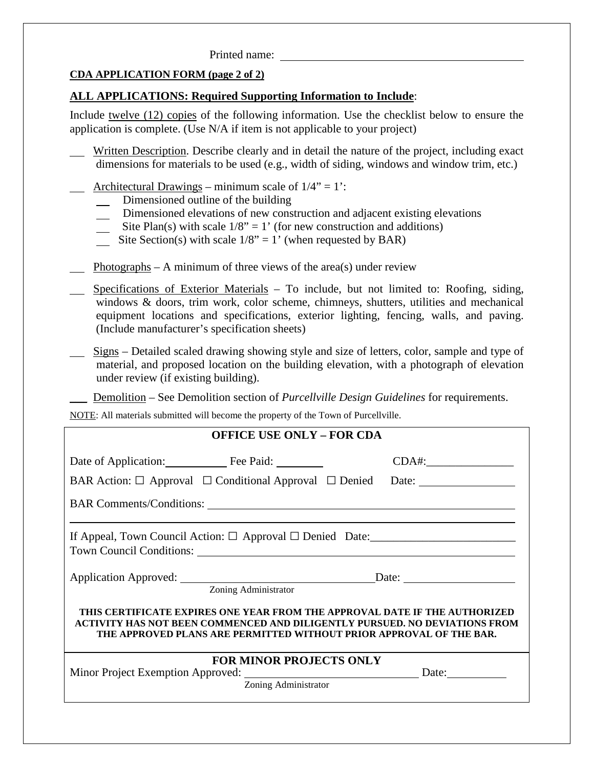#### Printed name:

### **CDA APPLICATION FORM (page 2 of 2)**

### **ALL APPLICATIONS: Required Supporting Information to Include**:

Include twelve (12) copies of the following information. Use the checklist below to ensure the application is complete. (Use N/A if item is not applicable to your project)

- Written Description. Describe clearly and in detail the nature of the project, including exact dimensions for materials to be used (e.g., width of siding, windows and window trim, etc.)
	- Architectural Drawings minimum scale of  $1/4$ " = 1':
		- **Dimensioned outline of the building**
		- Dimensioned elevations of new construction and adjacent existing elevations
		- Site Plan(s) with scale  $1/8$ " = 1' (for new construction and additions)
		- Site Section(s) with scale  $1/8$ " = 1' (when requested by BAR)
	- Photographs A minimum of three views of the area(s) under review
- Specifications of Exterior Materials To include, but not limited to: Roofing, siding, windows & doors, trim work, color scheme, chimneys, shutters, utilities and mechanical equipment locations and specifications, exterior lighting, fencing, walls, and paving. (Include manufacturer's specification sheets)
- Signs Detailed scaled drawing showing style and size of letters, color, sample and type of material, and proposed location on the building elevation, with a photograph of elevation under review (if existing building).

Demolition – See Demolition section of *Purcellville Design Guidelines* for requirements.

NOTE: All materials submitted will become the property of the Town of Purcellville.

| <b>OFFICE USE ONLY - FOR CDA</b> |                                                                                                                                                                                                                                 |
|----------------------------------|---------------------------------------------------------------------------------------------------------------------------------------------------------------------------------------------------------------------------------|
| Date of Application: Fee Paid:   |                                                                                                                                                                                                                                 |
|                                  | BAR Action: $\Box$ Approval $\Box$ Conditional Approval $\Box$ Denied Date:                                                                                                                                                     |
|                                  |                                                                                                                                                                                                                                 |
|                                  |                                                                                                                                                                                                                                 |
|                                  |                                                                                                                                                                                                                                 |
| Zoning Administrator             | THIS CERTIFICATE EXPIRES ONE YEAR FROM THE APPROVAL DATE IF THE AUTHORIZED<br>ACTIVITY HAS NOT BEEN COMMENCED AND DILIGENTLY PURSUED. NO DEVIATIONS FROM<br>THE APPROVED PLANS ARE PERMITTED WITHOUT PRIOR APPROVAL OF THE BAR. |
| <b>FOR MINOR PROJECTS ONLY</b>   |                                                                                                                                                                                                                                 |
| Zoning Administrator             |                                                                                                                                                                                                                                 |
|                                  |                                                                                                                                                                                                                                 |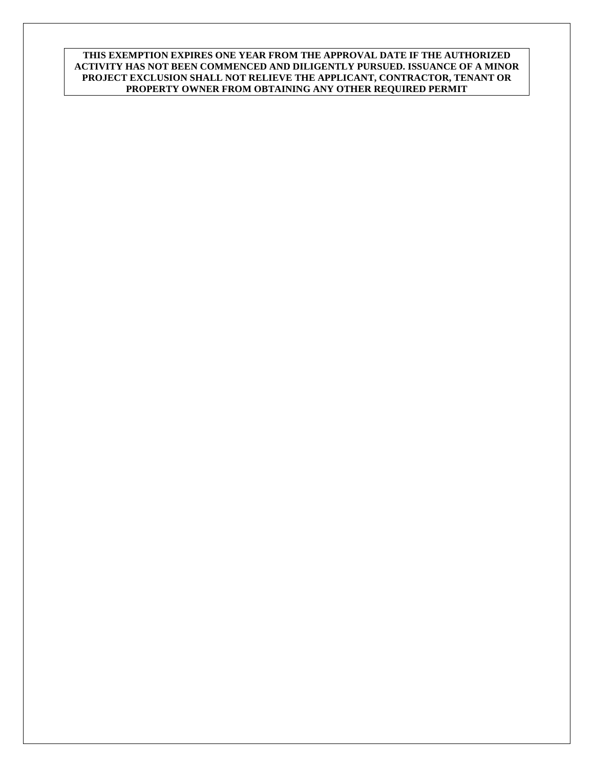**THIS EXEMPTION EXPIRES ONE YEAR FROM THE APPROVAL DATE IF THE AUTHORIZED ACTIVITY HAS NOT BEEN COMMENCED AND DILIGENTLY PURSUED. ISSUANCE OF A MINOR PROJECT EXCLUSION SHALL NOT RELIEVE THE APPLICANT, CONTRACTOR, TENANT OR PROPERTY OWNER FROM OBTAINING ANY OTHER REQUIRED PERMIT**